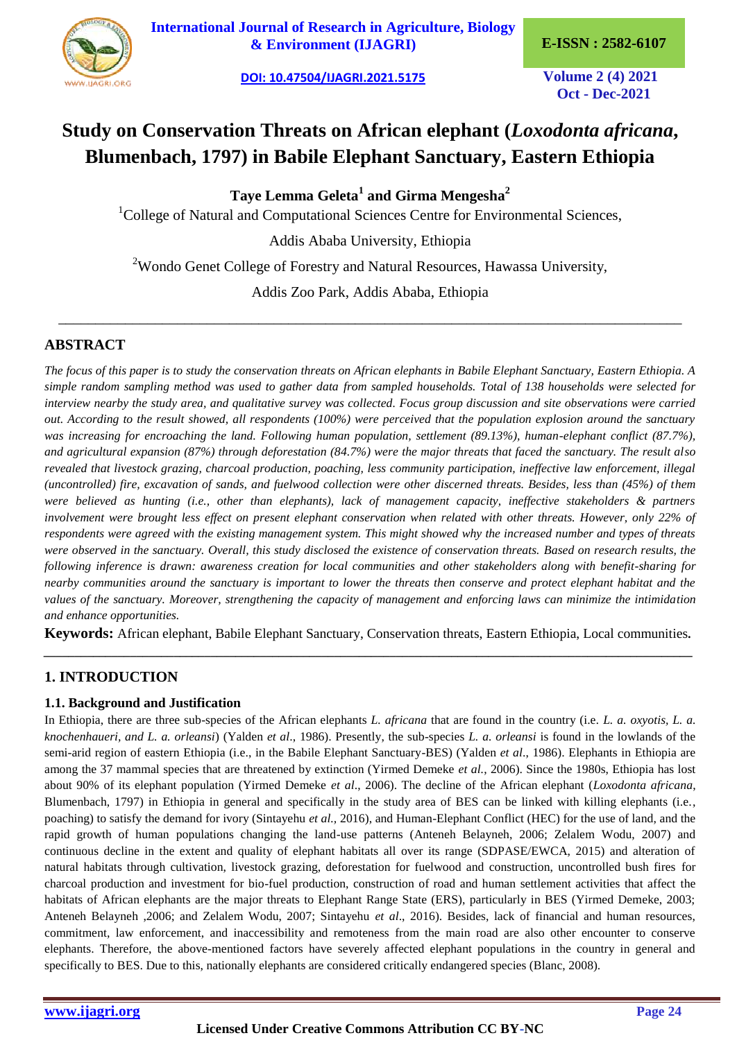

**[International Journal of Research in Agriculture, Biology](https://ijagri.org/index.php/ijagri/about)  [& Environment \(IJAGRI\)](https://ijagri.org/index.php/ijagri/about) E-ISSN : 2582-6107**

**[DOI: 10.47504/IJAGRI.2021.5175](https://doi.org/10.47504/IJAGRI.2021.5175) Volume 2 (4) 2021**

**Oct - Dec-2021**

# **Study on Conservation Threats on African elephant (***Loxodonta africana***, Blumenbach, 1797) in Babile Elephant Sanctuary, Eastern Ethiopia**

**Taye Lemma Geleta<sup>1</sup> and Girma Mengesha<sup>2</sup>**

<sup>1</sup>College of Natural and Computational Sciences Centre for Environmental Sciences,

Addis Ababa University, Ethiopia

<sup>2</sup>Wondo Genet College of Forestry and Natural Resources, Hawassa University,

Addis Zoo Park, Addis Ababa, Ethiopia

\_\_\_\_\_\_\_\_\_\_\_\_\_\_\_\_\_\_\_\_\_\_\_\_\_\_\_\_\_\_\_\_\_\_\_\_\_\_\_\_\_\_\_\_\_\_\_\_\_\_\_\_\_\_\_\_\_\_\_\_\_\_\_\_\_\_\_\_\_\_\_\_\_\_\_\_\_\_\_\_\_\_\_\_

# **ABSTRACT**

*The focus of this paper is to study the conservation threats on African elephants in Babile Elephant Sanctuary, Eastern Ethiopia. A simple random sampling method was used to gather data from sampled households. Total of 138 households were selected for interview nearby the study area, and qualitative survey was collected. Focus group discussion and site observations were carried out. According to the result showed, all respondents (100%) were perceived that the population explosion around the sanctuary was increasing for encroaching the land. Following human population, settlement (89.13%), human-elephant conflict (87.7%), and agricultural expansion (87%) through deforestation (84.7%) were the major threats that faced the sanctuary. The result also revealed that livestock grazing, charcoal production, poaching, less community participation, ineffective law enforcement, illegal (uncontrolled) fire, excavation of sands, and fuelwood collection were other discerned threats. Besides, less than (45%) of them were believed as hunting (i.e., other than elephants), lack of management capacity, ineffective stakeholders & partners involvement were brought less effect on present elephant conservation when related with other threats. However, only 22% of respondents were agreed with the existing management system. This might showed why the increased number and types of threats were observed in the sanctuary. Overall, this study disclosed the existence of conservation threats. Based on research results, the following inference is drawn: awareness creation for local communities and other stakeholders along with benefit-sharing for nearby communities around the sanctuary is important to lower the threats then conserve and protect elephant habitat and the values of the sanctuary. Moreover, strengthening the capacity of management and enforcing laws can minimize the intimidation and enhance opportunities.*

**Keywords:** African elephant, Babile Elephant Sanctuary, Conservation threats, Eastern Ethiopia, Local communities*. \_\_\_\_\_\_\_\_\_\_\_\_\_\_\_\_\_\_\_\_\_\_\_\_\_\_\_\_\_\_\_\_\_\_\_\_\_\_\_\_\_\_\_\_\_\_\_\_\_\_\_\_\_\_\_\_\_\_\_\_\_\_\_\_\_\_\_\_\_\_\_\_\_\_\_\_\_\_\_\_\_\_\_\_\_\_\_\_\_\_\_\_\_\_\_\_\_\_\_\_\_\_\_\_\_*

# **1. INTRODUCTION**

### **1.1. Background and Justification**

In Ethiopia, there are three sub-species of the African elephants *L. africana* that are found in the country (i.e*. L. a. oxyotis, L. a. knochenhaueri, and L. a. orleansi*) (Yalden *et al*., 1986). Presently, the sub-species *L. a. orleansi* is found in the lowlands of the semi-arid region of eastern Ethiopia (i.e., in the Babile Elephant Sanctuary-BES) (Yalden *et al*., 1986). Elephants in Ethiopia are among the 37 mammal species that are threatened by extinction (Yirmed Demeke *et al.*, 2006). Since the 1980s, Ethiopia has lost about 90% of its elephant population (Yirmed Demeke *et al*., 2006). The decline of the African elephant (*Loxodonta africana*, Blumenbach, 1797) in Ethiopia in general and specifically in the study area of BES can be linked with killing elephants (i.e., poaching) to satisfy the demand for ivory (Sintayehu *et al.,* 2016), and Human-Elephant Conflict (HEC) for the use of land, and the rapid growth of human populations changing the land-use patterns (Anteneh Belayneh, 2006; Zelalem Wodu, 2007) and continuous decline in the extent and quality of elephant habitats all over its range (SDPASE/EWCA, 2015) and alteration of natural habitats through cultivation, livestock grazing, deforestation for fuelwood and construction, uncontrolled bush fires for charcoal production and investment for bio-fuel production, construction of road and human settlement activities that affect the habitats of African elephants are the major threats to Elephant Range State (ERS), particularly in BES (Yirmed Demeke, 2003; Anteneh Belayneh ,2006; and Zelalem Wodu, 2007; Sintayehu *et al*., 2016). Besides, lack of financial and human resources, commitment, law enforcement, and inaccessibility and remoteness from the main road are also other encounter to conserve elephants. Therefore, the above-mentioned factors have severely affected elephant populations in the country in general and specifically to BES. Due to this, nationally elephants are considered critically endangered species (Blanc, 2008).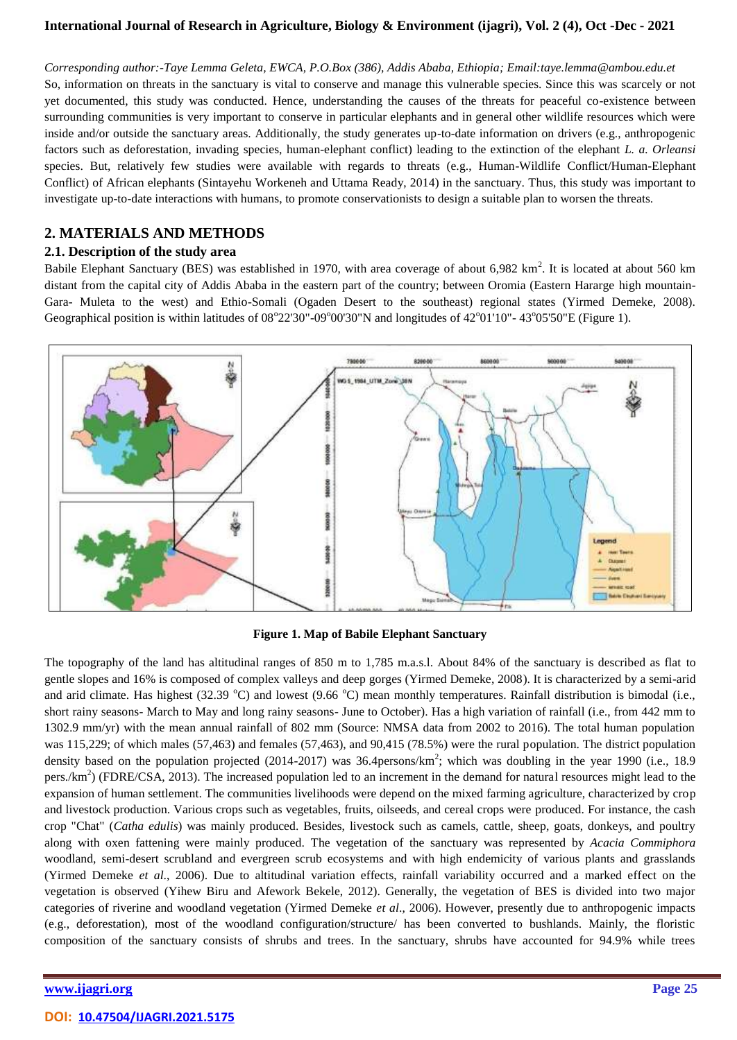*Corresponding author:-Taye Lemma Geleta, EWCA, P.O.Box (386), Addis Ababa, Ethiopia; Email:taye.lemma@ambou.edu.et* So, information on threats in the sanctuary is vital to conserve and manage this vulnerable species. Since this was scarcely or not yet documented, this study was conducted. Hence, understanding the causes of the threats for peaceful co-existence between surrounding communities is very important to conserve in particular elephants and in general other wildlife resources which were inside and/or outside the sanctuary areas. Additionally, the study generates up-to-date information on drivers (e.g., anthropogenic factors such as deforestation, invading species, human-elephant conflict) leading to the extinction of the elephant *L. a. Orleansi* species. But, relatively few studies were available with regards to threats (e.g., Human-Wildlife Conflict/Human-Elephant Conflict) of African elephants (Sintayehu Workeneh and Uttama Ready, 2014) in the sanctuary. Thus, this study was important to investigate up-to-date interactions with humans, to promote conservationists to design a suitable plan to worsen the threats.

# **2. MATERIALS AND METHODS**

## **2.1. Description of the study area**

Babile Elephant Sanctuary (BES) was established in 1970, with area coverage of about  $6,982 \text{ km}^2$ . It is located at about 560 km distant from the capital city of Addis Ababa in the eastern part of the country; between Oromia (Eastern Hararge high mountain-Gara- Muleta to the west) and Ethio-Somali (Ogaden Desert to the southeast) regional states (Yirmed Demeke, 2008). Geographical position is within latitudes of 08°22'30"-09°00'30"N and longitudes of 42°01'10"-43°05'50"E (Figure 1).



**Figure 1. Map of Babile Elephant Sanctuary**

The topography of the land has altitudinal ranges of 850 m to 1,785 m.a.s.l. About 84% of the sanctuary is described as flat to gentle slopes and 16% is composed of complex valleys and deep gorges (Yirmed Demeke, 2008). It is characterized by a semi-arid and arid climate. Has highest (32.39  $^{\circ}$ C) and lowest (9.66  $^{\circ}$ C) mean monthly temperatures. Rainfall distribution is bimodal (i.e., short rainy seasons- March to May and long rainy seasons- June to October). Has a high variation of rainfall (i.e., from 442 mm to 1302.9 mm/yr) with the mean annual rainfall of 802 mm (Source: NMSA data from 2002 to 2016). The total human population was 115,229; of which males (57,463) and females (57,463), and 90,415 (78.5%) were the rural population. The district population density based on the population projected (2014-2017) was  $36.4$ persons/km<sup>2</sup>; which was doubling in the year 1990 (i.e., 18.9 pers./ $km<sup>2</sup>$ ) (FDRE/CSA, 2013). The increased population led to an increment in the demand for natural resources might lead to the expansion of human settlement. The communities livelihoods were depend on the mixed farming agriculture, characterized by crop and livestock production. Various crops such as vegetables, fruits, oilseeds, and cereal crops were produced. For instance, the cash crop "Chat" (*Catha edulis*) was mainly produced. Besides, livestock such as camels, cattle, sheep, goats, donkeys, and poultry along with oxen fattening were mainly produced. The vegetation of the sanctuary was represented by *Acacia Commiphora* woodland, semi-desert scrubland and evergreen scrub ecosystems and with high endemicity of various plants and grasslands (Yirmed Demeke *et al*., 2006). Due to altitudinal variation effects, rainfall variability occurred and a marked effect on the vegetation is observed (Yihew Biru and Afework Bekele, 2012). Generally, the vegetation of BES is divided into two major categories of riverine and woodland vegetation (Yirmed Demeke *et al*., 2006). However, presently due to anthropogenic impacts (e.g., deforestation), most of the woodland configuration/structure/ has been converted to bushlands. Mainly, the floristic composition of the sanctuary consists of shrubs and trees. In the sanctuary, shrubs have accounted for 94.9% while trees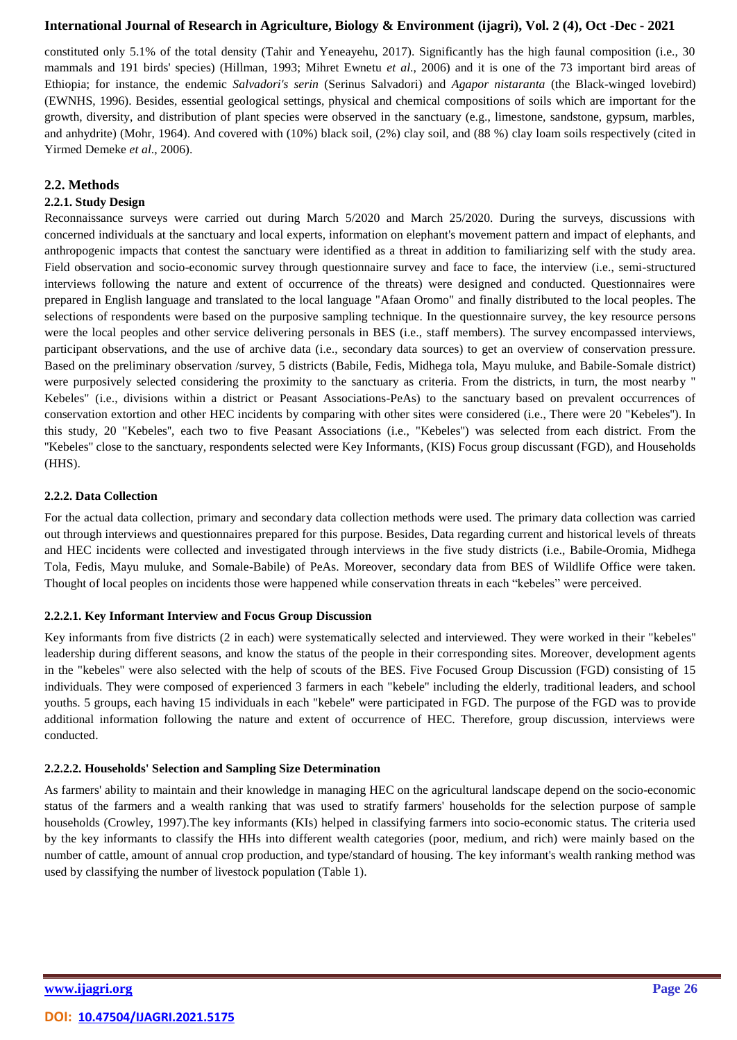constituted only 5.1% of the total density (Tahir and Yeneayehu, 2017). Significantly has the high faunal composition (i.e., 30 mammals and 191 birds' species) (Hillman, 1993; Mihret Ewnetu *et al*., 2006) and it is one of the 73 important bird areas of Ethiopia; for instance, the endemic *Salvadori's serin* (Serinus Salvadori) and *Agapor nistaranta* (the Black-winged lovebird) (EWNHS, 1996). Besides, essential geological settings, physical and chemical compositions of soils which are important for the growth, diversity, and distribution of plant species were observed in the sanctuary (e.g., limestone, sandstone, gypsum, marbles, and anhydrite) (Mohr, 1964). And covered with (10%) black soil, (2%) clay soil, and (88 %) clay loam soils respectively (cited in Yirmed Demeke *et al*., 2006).

### **2.2. Methods**

## **2.2.1. Study Design**

Reconnaissance surveys were carried out during March 5/2020 and March 25/2020. During the surveys, discussions with concerned individuals at the sanctuary and local experts, information on elephant's movement pattern and impact of elephants, and anthropogenic impacts that contest the sanctuary were identified as a threat in addition to familiarizing self with the study area. Field observation and socio-economic survey through questionnaire survey and face to face, the interview (i.e., semi-structured interviews following the nature and extent of occurrence of the threats) were designed and conducted. Questionnaires were prepared in English language and translated to the local language "Afaan Oromo" and finally distributed to the local peoples. The selections of respondents were based on the purposive sampling technique. In the questionnaire survey, the key resource persons were the local peoples and other service delivering personals in BES (i.e., staff members). The survey encompassed interviews, participant observations, and the use of archive data (i.e., secondary data sources) to get an overview of conservation pressure. Based on the preliminary observation /survey, 5 districts (Babile, Fedis, Midhega tola, Mayu muluke, and Babile-Somale district) were purposively selected considering the proximity to the sanctuary as criteria. From the districts, in turn, the most nearby " Kebeles" (i.e., divisions within a district or Peasant Associations-PeAs) to the sanctuary based on prevalent occurrences of conservation extortion and other HEC incidents by comparing with other sites were considered (i.e., There were 20 "Kebeles''). In this study, 20 "Kebeles'', each two to five Peasant Associations (i.e., "Kebeles'') was selected from each district. From the ''Kebeles'' close to the sanctuary, respondents selected were Key Informants, (KIS) Focus group discussant (FGD), and Households (HHS).

### **2.2.2. Data Collection**

For the actual data collection, primary and secondary data collection methods were used. The primary data collection was carried out through interviews and questionnaires prepared for this purpose. Besides, Data regarding current and historical levels of threats and HEC incidents were collected and investigated through interviews in the five study districts (i.e., Babile-Oromia, Midhega Tola, Fedis, Mayu muluke, and Somale-Babile) of PeAs. Moreover, secondary data from BES of Wildlife Office were taken. Thought of local peoples on incidents those were happened while conservation threats in each "kebeles" were perceived.

### **2.2.2.1. Key Informant Interview and Focus Group Discussion**

Key informants from five districts (2 in each) were systematically selected and interviewed. They were worked in their "kebeles'' leadership during different seasons, and know the status of the people in their corresponding sites. Moreover, development agents in the "kebeles'' were also selected with the help of scouts of the BES. Five Focused Group Discussion (FGD) consisting of 15 individuals. They were composed of experienced 3 farmers in each "kebele'' including the elderly, traditional leaders, and school youths. 5 groups, each having 15 individuals in each "kebele'' were participated in FGD. The purpose of the FGD was to provide additional information following the nature and extent of occurrence of HEC. Therefore, group discussion, interviews were conducted.

### **2.2.2.2. Households' Selection and Sampling Size Determination**

As farmers' ability to maintain and their knowledge in managing HEC on the agricultural landscape depend on the socio-economic status of the farmers and a wealth ranking that was used to stratify farmers' households for the selection purpose of sample households (Crowley, 1997).The key informants (KIs) helped in classifying farmers into socio-economic status. The criteria used by the key informants to classify the HHs into different wealth categories (poor, medium, and rich) were mainly based on the number of cattle, amount of annual crop production, and type/standard of housing. The key informant's wealth ranking method was used by classifying the number of livestock population (Table 1).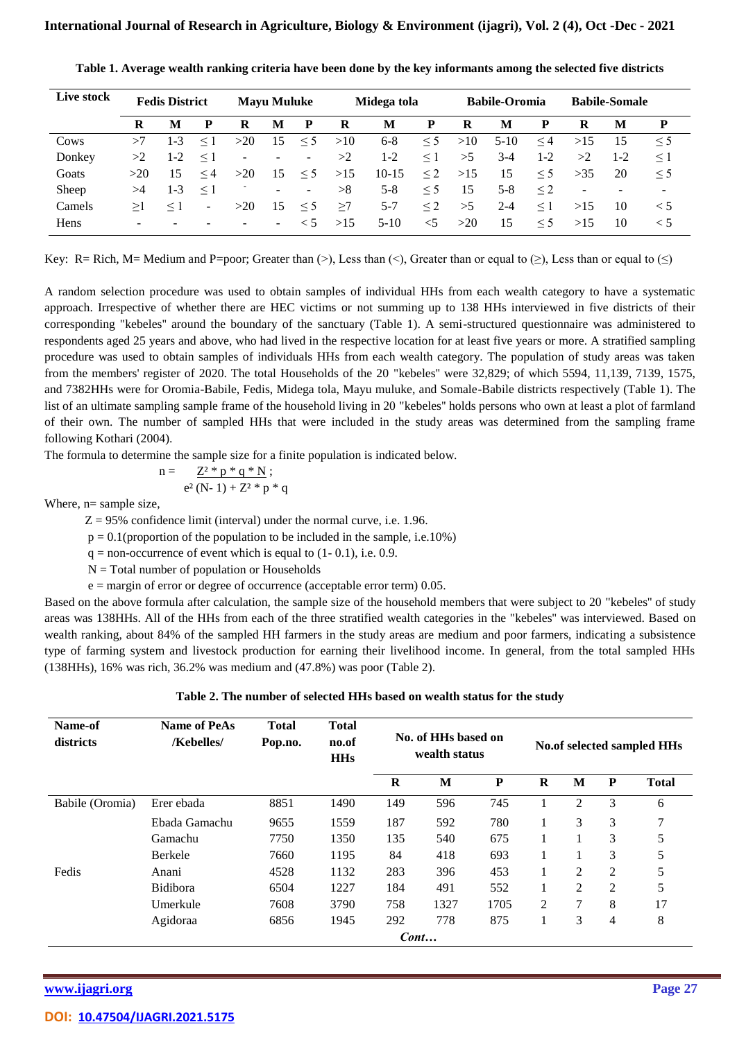| Live stock |                          | <b>Fedis District</b> |          |                          | <b>Mayu Muluke</b>       |                          |     | Midega tola |          |     | <b>Babile-Oromia</b> |          |                          | <b>Babile-Somale</b>     |                          |
|------------|--------------------------|-----------------------|----------|--------------------------|--------------------------|--------------------------|-----|-------------|----------|-----|----------------------|----------|--------------------------|--------------------------|--------------------------|
|            | R                        | M                     | P        | R                        | M                        | P                        | R   | M           | P        | R   | M                    | P        | R                        | M                        | P                        |
| Cows       | >7                       | $1 - 3$               | $\leq$ 1 | >20                      | 15                       | $\leq$ 5                 | >10 | $6 - 8$     | $\leq$ 5 | >10 | $5-10$               | $\leq 4$ | >15                      | 15                       | $\leq$ 5                 |
| Donkey     | >2                       | $1-2$                 | $\leq$ 1 | $\overline{\phantom{a}}$ | $\overline{\phantom{a}}$ | $\overline{\phantom{a}}$ | >2  | $1-2$       | $\leq$ 1 | >5  | 3-4                  | $1 - 2$  | >2                       | $1-2$                    | $\leq$ 1                 |
| Goats      | >20                      | 15                    | $\leq 4$ | >20                      | 15                       | $\leq$ 5                 | >15 | $10-15$     | $\leq$ 2 | >15 | 15                   | $\leq$ 5 | >35                      | 20                       | $\leq$ 5                 |
| Sheep      | >4                       | $1 - 3$               | $\leq$ 1 |                          | $\overline{\phantom{a}}$ | ۰.                       | >8  | $5 - 8$     | $\leq$ 5 | 15  | $5 - 8$              | $\leq$ 2 | $\overline{\phantom{a}}$ | $\overline{\phantom{a}}$ | $\overline{\phantom{a}}$ |
| Camels     | >1                       | $\leq$ 1              | $\sim$   | >20                      | 15                       | $\leq$ 5                 | >7  | $5 - 7$     | $\leq$ 2 | >5  | $2 - 4$              | $\leq$ 1 | >15                      | 10                       | $\leq 5$                 |
| Hens       | $\overline{\phantom{0}}$ |                       |          |                          | $\overline{\phantom{a}}$ | $\leq 5$                 | >15 | $5-10$      | $\leq$ 5 | >20 | 15                   | $\leq$ 5 | >15                      | 10                       | < 5                      |

**Table 1. Average wealth ranking criteria have been done by the key informants among the selected five districts**

Key: R= Rich, M= Medium and P=poor; Greater than (>), Less than (<), Greater than or equal to ( $\geq$ ), Less than or equal to ( $\leq$ )

A random selection procedure was used to obtain samples of individual HHs from each wealth category to have a systematic approach. Irrespective of whether there are HEC victims or not summing up to 138 HHs interviewed in five districts of their corresponding "kebeles'' around the boundary of the sanctuary (Table 1). A semi-structured questionnaire was administered to respondents aged 25 years and above, who had lived in the respective location for at least five years or more. A stratified sampling procedure was used to obtain samples of individuals HHs from each wealth category. The population of study areas was taken from the members' register of 2020. The total Households of the 20 "kebeles'' were 32,829; of which 5594, 11,139, 7139, 1575, and 7382HHs were for Oromia-Babile, Fedis, Midega tola, Mayu muluke, and Somale-Babile districts respectively (Table 1). The list of an ultimate sampling sample frame of the household living in 20 "kebeles" holds persons who own at least a plot of farmland of their own. The number of sampled HHs that were included in the study areas was determined from the sampling frame following Kothari (2004).

The formula to determine the sample size for a finite population is indicated below.

$$
n = \qquad \underline{Z^2 * p * q * N} \; ;
$$

$$
e^2\,(N\text{-}\ 1) + Z^2 \,\,{}^\ast\, p \,\,{}^\ast\, q
$$

Where,  $n=$  sample size,

 $Z = 95\%$  confidence limit (interval) under the normal curve, i.e. 1.96.

 $p = 0.1$ (proportion of the population to be included in the sample, i.e. 10%)

 $q =$  non-occurrence of event which is equal to  $(1 - 0.1)$ , i.e. 0.9.

 $N = Total number of population or Households$ 

 $e =$  margin of error or degree of occurrence (acceptable error term) 0.05.

Based on the above formula after calculation, the sample size of the household members that were subject to 20 "kebeles'' of study areas was 138HHs. All of the HHs from each of the three stratified wealth categories in the "kebeles'' was interviewed. Based on wealth ranking, about 84% of the sampled HH farmers in the study areas are medium and poor farmers, indicating a subsistence type of farming system and livestock production for earning their livelihood income. In general, from the total sampled HHs (138HHs), 16% was rich, 36.2% was medium and (47.8%) was poor (Table 2).

| Table 2. The number of selected HHs based on wealth status for the study |  |  |  |
|--------------------------------------------------------------------------|--|--|--|
|--------------------------------------------------------------------------|--|--|--|

| Name-of<br>districts | <b>Name of PeAs</b><br>/Kebelles/ | <b>Total</b><br>Pop.no. | <b>Total</b><br>no.of<br><b>HHs</b> | No. of HHs based on<br>wealth status |      | No.of selected sampled HHs |   |                |                |              |
|----------------------|-----------------------------------|-------------------------|-------------------------------------|--------------------------------------|------|----------------------------|---|----------------|----------------|--------------|
|                      |                                   |                         |                                     | $\bf{R}$                             | M    | P                          | R | M              | P              | <b>Total</b> |
| Babile (Oromia)      | Erer ebada                        | 8851                    | 1490                                | 149                                  | 596  | 745                        |   | $\overline{2}$ | 3              | 6            |
|                      | Ebada Gamachu                     | 9655                    | 1559                                | 187                                  | 592  | 780                        |   | 3              | 3              | 7            |
|                      | Gamachu                           | 7750                    | 1350                                | 135                                  | 540  | 675                        |   | 1              | 3              | 5            |
|                      | <b>Berkele</b>                    | 7660                    | 1195                                | 84                                   | 418  | 693                        | 1 | 1              | 3              | 5            |
| Fedis                | Anani                             | 4528                    | 1132                                | 283                                  | 396  | 453                        | 1 | 2              | $\overline{c}$ | 5            |
|                      | <b>Bidibora</b>                   | 6504                    | 1227                                | 184                                  | 491  | 552                        | 1 | $\overline{2}$ | 2              | 5            |
|                      | Umerkule                          | 7608                    | 3790                                | 758                                  | 1327 | 1705                       | 2 | 7              | 8              | 17           |
|                      | Agidoraa                          | 6856                    | 1945                                | 292                                  | 778  | 875                        |   | 3              | 4              | 8            |
|                      |                                   |                         |                                     | Cont                                 |      |                            |   |                |                |              |

**[www.ijagri.org](https://ijagri.org/index.php/ijagri/about) Page 27**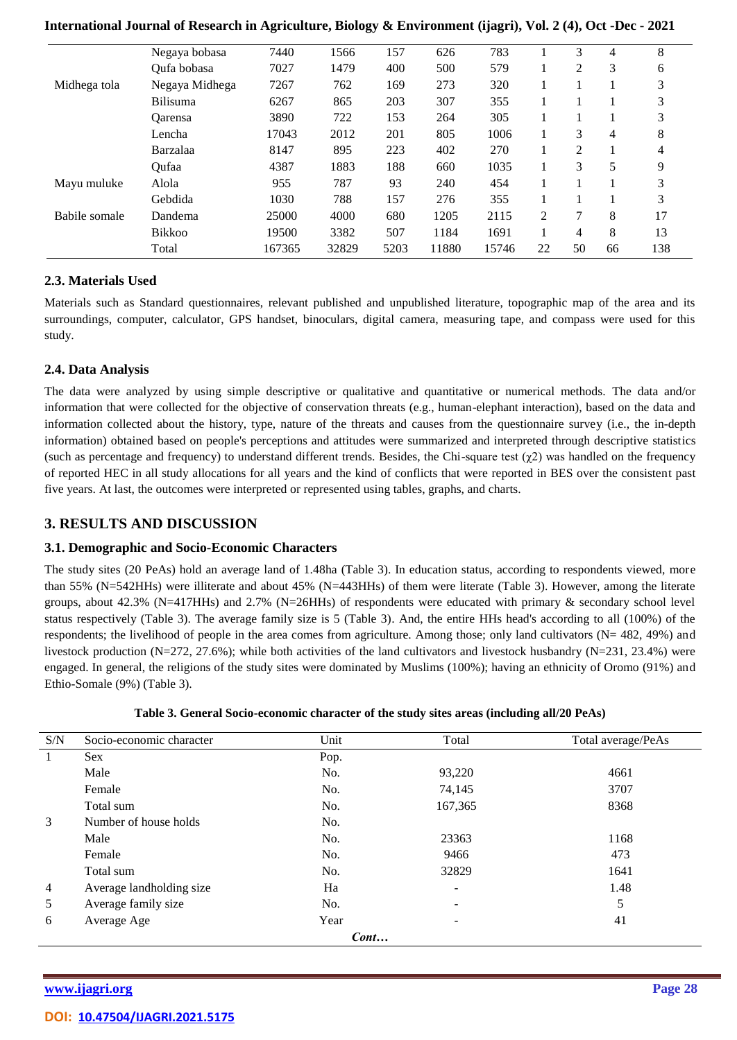|               | Negaya bobasa   | 7440   | 1566  | 157  | 626   | 783   |                | 3              | 4  | 8   |
|---------------|-----------------|--------|-------|------|-------|-------|----------------|----------------|----|-----|
|               | Oufa bobasa     | 7027   | 1479  | 400  | 500   | 579   |                | 2              | 3  | 6   |
| Midhega tola  | Negaya Midhega  | 7267   | 762   | 169  | 273   | 320   |                |                |    | 3   |
|               | <b>Bilisuma</b> | 6267   | 865   | 203  | 307   | 355   |                |                |    | 3   |
|               | <b>Oarensa</b>  | 3890   | 722   | 153  | 264   | 305   |                |                |    | 3   |
|               | Lencha          | 17043  | 2012  | 201  | 805   | 1006  |                | 3              | 4  | 8   |
|               | Barzalaa        | 8147   | 895   | 223  | 402   | 270   |                | $\overline{2}$ |    | 4   |
|               | Oufaa           | 4387   | 1883  | 188  | 660   | 1035  |                | 3              | 5  | 9   |
| Mayu muluke   | Alola           | 955    | 787   | 93   | 240   | 454   |                |                |    | 3   |
|               | Gebdida         | 1030   | 788   | 157  | 276   | 355   |                |                |    | 3   |
| Babile somale | Dandema         | 25000  | 4000  | 680  | 1205  | 2115  | $\overline{2}$ | 7              | 8  | 17  |
|               | <b>Bikkoo</b>   | 19500  | 3382  | 507  | 1184  | 1691  |                | 4              | 8  | 13  |
|               | Total           | 167365 | 32829 | 5203 | 11880 | 15746 | 22             | 50             | 66 | 138 |

## **2.3. Materials Used**

Materials such as Standard questionnaires, relevant published and unpublished literature, topographic map of the area and its surroundings, computer, calculator, GPS handset, binoculars, digital camera, measuring tape, and compass were used for this study.

## **2.4. Data Analysis**

The data were analyzed by using simple descriptive or qualitative and quantitative or numerical methods. The data and/or information that were collected for the objective of conservation threats (e.g., human-elephant interaction), based on the data and information collected about the history, type, nature of the threats and causes from the questionnaire survey (i.e., the in-depth information) obtained based on people's perceptions and attitudes were summarized and interpreted through descriptive statistics (such as percentage and frequency) to understand different trends. Besides, the Chi-square test  $(\gamma 2)$  was handled on the frequency of reported HEC in all study allocations for all years and the kind of conflicts that were reported in BES over the consistent past five years. At last, the outcomes were interpreted or represented using tables, graphs, and charts.

# **3. RESULTS AND DISCUSSION**

### **3.1. Demographic and Socio-Economic Characters**

The study sites (20 PeAs) hold an average land of 1.48ha (Table 3). In education status, according to respondents viewed, more than 55% (N=542HHs) were illiterate and about 45% (N=443HHs) of them were literate (Table 3). However, among the literate groups, about 42.3% (N=417HHs) and 2.7% (N=26HHs) of respondents were educated with primary & secondary school level status respectively (Table 3). The average family size is 5 (Table 3). And, the entire HHs head's according to all (100%) of the respondents; the livelihood of people in the area comes from agriculture. Among those; only land cultivators (N= 482, 49%) and livestock production (N=272, 27.6%); while both activities of the land cultivators and livestock husbandry (N=231, 23.4%) were engaged. In general, the religions of the study sites were dominated by Muslims (100%); having an ethnicity of Oromo (91%) and Ethio-Somale (9%) (Table 3).

|  | Table 3. General Socio-economic character of the study sites areas (including all/20 PeAs) |  |  |  |  |
|--|--------------------------------------------------------------------------------------------|--|--|--|--|

| S/N | Socio-economic character | Unit | Total   | Total average/PeAs |
|-----|--------------------------|------|---------|--------------------|
|     | <b>Sex</b>               | Pop. |         |                    |
|     | Male                     | No.  | 93,220  | 4661               |
|     | Female                   | No.  | 74,145  | 3707               |
|     | Total sum                | No.  | 167,365 | 8368               |
| 3   | Number of house holds    | No.  |         |                    |
|     | Male                     | No.  | 23363   | 1168               |
|     | Female                   | No.  | 9466    | 473                |
|     | Total sum                | No.  | 32829   | 1641               |
| 4   | Average landholding size | Ha   |         | 1.48               |
| 5   | Average family size      | No.  | -       | 5                  |
| 6   | Average Age              | Year | ۰       | 41                 |
|     |                          | Cont |         |                    |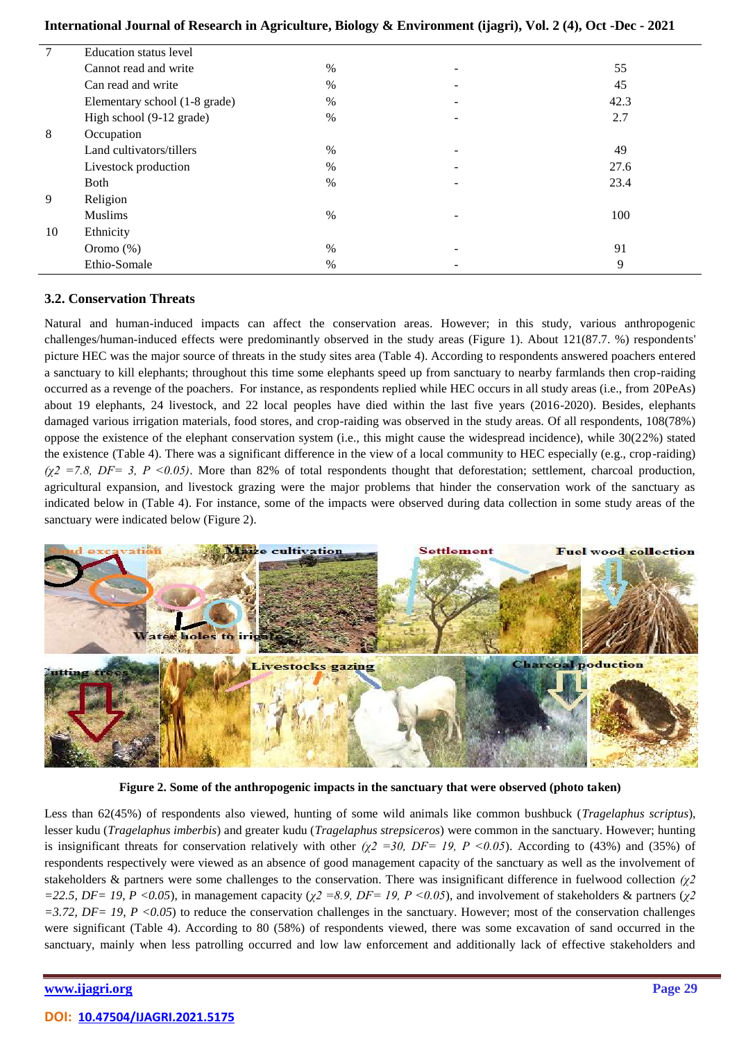| International Journal of Research in Agriculture, Biology & Environment (ijagri), Vol. 2 (4), Oct -Dec - 2021 |  |  |  |  |  |  |
|---------------------------------------------------------------------------------------------------------------|--|--|--|--|--|--|
|---------------------------------------------------------------------------------------------------------------|--|--|--|--|--|--|

| $\tau$ | <b>Education status level</b> |      |   |      |
|--------|-------------------------------|------|---|------|
|        | Cannot read and write         | $\%$ | - | 55   |
|        | Can read and write            | $\%$ |   | 45   |
|        | Elementary school (1-8 grade) | $\%$ | - | 42.3 |
|        | High school (9-12 grade)      | $\%$ |   | 2.7  |
| 8      | Occupation                    |      |   |      |
|        | Land cultivators/tillers      | $\%$ |   | 49   |
|        | Livestock production          | %    | - | 27.6 |
|        | <b>Both</b>                   | $\%$ |   | 23.4 |
| 9      | Religion                      |      |   |      |
|        | <b>Muslims</b>                | $\%$ |   | 100  |
| 10     | Ethnicity                     |      |   |      |
|        | Oromo $(\%)$                  | $\%$ | - | 91   |
|        | Ethio-Somale                  | $\%$ |   | 9    |

### **3.2. Conservation Threats**

Natural and human-induced impacts can affect the conservation areas. However; in this study, various anthropogenic challenges/human-induced effects were predominantly observed in the study areas (Figure 1). About 121(87.7. %) respondents' picture HEC was the major source of threats in the study sites area (Table 4). According to respondents answered poachers entered a sanctuary to kill elephants; throughout this time some elephants speed up from sanctuary to nearby farmlands then crop-raiding occurred as a revenge of the poachers. For instance, as respondents replied while HEC occurs in all study areas (i.e., from 20PeAs) about 19 elephants, 24 livestock, and 22 local peoples have died within the last five years (2016-2020). Besides, elephants damaged various irrigation materials, food stores, and crop-raiding was observed in the study areas. Of all respondents, 108(78%) oppose the existence of the elephant conservation system (i.e., this might cause the widespread incidence), while 30(22%) stated the existence (Table 4). There was a significant difference in the view of a local community to HEC especially (e.g., crop-raiding)  $(\chi^2 = 7.8, DF = 3, P \le 0.05)$ . More than 82% of total respondents thought that deforestation; settlement, charcoal production, agricultural expansion, and livestock grazing were the major problems that hinder the conservation work of the sanctuary as indicated below in (Table 4). For instance, some of the impacts were observed during data collection in some study areas of the sanctuary were indicated below (Figure 2).



**Figure 2. Some of the anthropogenic impacts in the sanctuary that were observed (photo taken)**

Less than 62(45%) of respondents also viewed, hunting of some wild animals like common bushbuck (*Tragelaphus scriptus*), lesser kudu (*Tragelaphus imberbis*) and greater kudu (*Tragelaphus strepsiceros*) were common in the sanctuary. However; hunting is insignificant threats for conservation relatively with other  $(\chi^2 = 30, DF = 19, P \le 0.05)$ . According to (43%) and (35%) of respondents respectively were viewed as an absence of good management capacity of the sanctuary as well as the involvement of stakeholders & partners were some challenges to the conservation. There was insignificant difference in fuelwood collection *(χ2 =22.5, DF= 19, P <0.05*), in management capacity (*χ2 =8.9, DF= 19, P <0.05*), and involvement of stakeholders & partners (*χ2*   $=3.72$ ,  $DF=19$ ,  $P < 0.05$ ) to reduce the conservation challenges in the sanctuary. However; most of the conservation challenges were significant (Table 4). According to 80 (58%) of respondents viewed, there was some excavation of sand occurred in the sanctuary, mainly when less patrolling occurred and low law enforcement and additionally lack of effective stakeholders and

#### **[www.ijagri.org](https://ijagri.org/index.php/ijagri/about) Page 29**

#### **DOI: [10.47504/IJAGRI.2021.5175](https://doi.org/10.47504/IJAGRI.2021.5175)**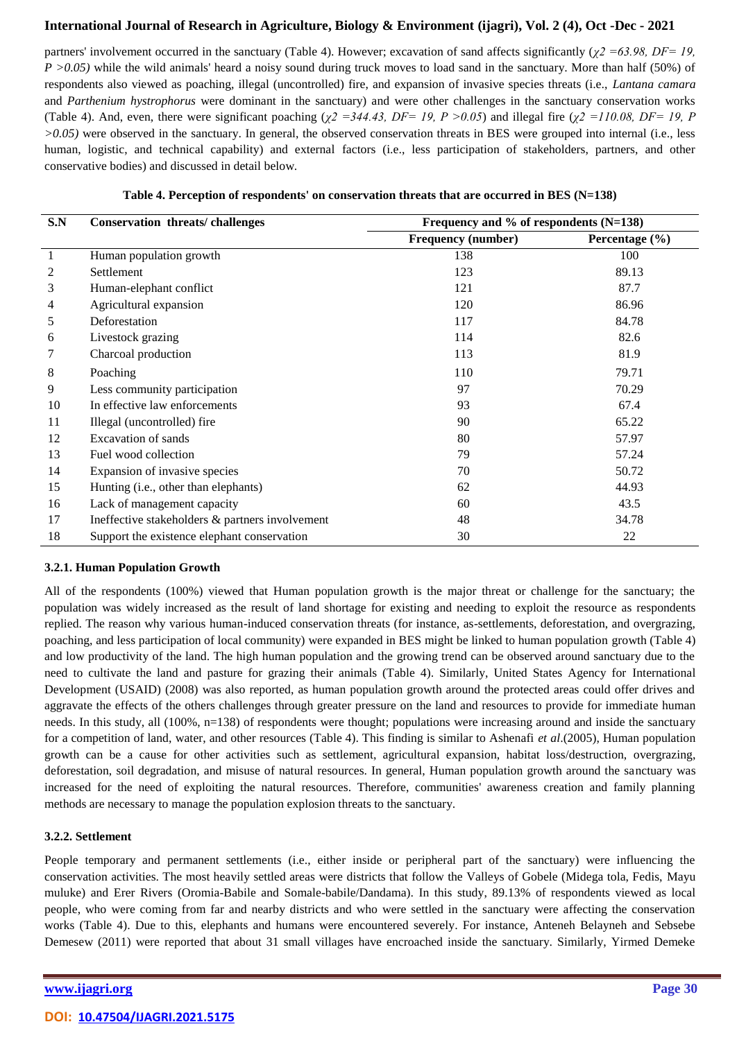partners' involvement occurred in the sanctuary (Table 4). However; excavation of sand affects significantly (*χ2 =63.98, DF= 19, P* >0.05) while the wild animals' heard a noisy sound during truck moves to load sand in the sanctuary. More than half (50%) of respondents also viewed as poaching, illegal (uncontrolled) fire, and expansion of invasive species threats (i.e., *Lantana camara* and *Parthenium hystrophorus* were dominant in the sanctuary) and were other challenges in the sanctuary conservation works (Table 4). And, even, there were significant poaching ( $\chi^2 = 344.43$ , DF= 19, P > 0.05) and illegal fire ( $\chi^2 = 110.08$ , DF= 19, P *>0.05)* were observed in the sanctuary. In general, the observed conservation threats in BES were grouped into internal (i.e., less human, logistic, and technical capability) and external factors (i.e., less participation of stakeholders, partners, and other conservative bodies) and discussed in detail below.

| S.N | <b>Conservation threats/challenges</b>          | Frequency and % of respondents $(N=138)$ |                    |
|-----|-------------------------------------------------|------------------------------------------|--------------------|
|     |                                                 | <b>Frequency (number)</b>                | Percentage $(\% )$ |
|     | Human population growth                         | 138                                      | 100                |
|     | Settlement                                      | 123                                      | 89.13              |
| 3   | Human-elephant conflict                         | 121                                      | 87.7               |
| 4   | Agricultural expansion                          | 120                                      | 86.96              |
| 5   | Deforestation                                   | 117                                      | 84.78              |
| 6   | Livestock grazing                               | 114                                      | 82.6               |
|     | Charcoal production                             | 113                                      | 81.9               |
| 8   | Poaching                                        | 110                                      | 79.71              |
| 9   | Less community participation                    | 97                                       | 70.29              |
| 10  | In effective law enforcements                   | 93                                       | 67.4               |
| 11  | Illegal (uncontrolled) fire                     | 90                                       | 65.22              |
| 12  | <b>Excavation of sands</b>                      | 80                                       | 57.97              |
| 13  | Fuel wood collection                            | 79                                       | 57.24              |
| 14  | Expansion of invasive species                   | 70                                       | 50.72              |
| 15  | Hunting (i.e., other than elephants)            | 62                                       | 44.93              |
| 16  | Lack of management capacity                     | 60                                       | 43.5               |
| 17  | Ineffective stakeholders & partners involvement | 48                                       | 34.78              |
| 18  | Support the existence elephant conservation     | 30                                       | 22                 |

|  |  | Table 4. Perception of respondents' on conservation threats that are occurred in BES (N=138) |  |
|--|--|----------------------------------------------------------------------------------------------|--|
|  |  |                                                                                              |  |

#### **3.2.1. Human Population Growth**

All of the respondents (100%) viewed that Human population growth is the major threat or challenge for the sanctuary; the population was widely increased as the result of land shortage for existing and needing to exploit the resource as respondents replied. The reason why various human-induced conservation threats (for instance, as-settlements, deforestation, and overgrazing, poaching, and less participation of local community) were expanded in BES might be linked to human population growth (Table 4) and low productivity of the land. The high human population and the growing trend can be observed around sanctuary due to the need to cultivate the land and pasture for grazing their animals (Table 4). Similarly, United States Agency for International Development (USAID) (2008) was also reported, as human population growth around the protected areas could offer drives and aggravate the effects of the others challenges through greater pressure on the land and resources to provide for immediate human needs. In this study, all (100%, n=138) of respondents were thought; populations were increasing around and inside the sanctuary for a competition of land, water, and other resources (Table 4). This finding is similar to Ashenafi *et al*.(2005), Human population growth can be a cause for other activities such as settlement, agricultural expansion, habitat loss/destruction, overgrazing, deforestation, soil degradation, and misuse of natural resources. In general, Human population growth around the sanctuary was increased for the need of exploiting the natural resources. Therefore, communities' awareness creation and family planning methods are necessary to manage the population explosion threats to the sanctuary.

#### **3.2.2. Settlement**

People temporary and permanent settlements (i.e., either inside or peripheral part of the sanctuary) were influencing the conservation activities. The most heavily settled areas were districts that follow the Valleys of Gobele (Midega tola, Fedis, Mayu muluke) and Erer Rivers (Oromia-Babile and Somale-babile/Dandama). In this study, 89.13% of respondents viewed as local people, who were coming from far and nearby districts and who were settled in the sanctuary were affecting the conservation works (Table 4). Due to this, elephants and humans were encountered severely. For instance, Anteneh Belayneh and Sebsebe Demesew (2011) were reported that about 31 small villages have encroached inside the sanctuary. Similarly, Yirmed Demeke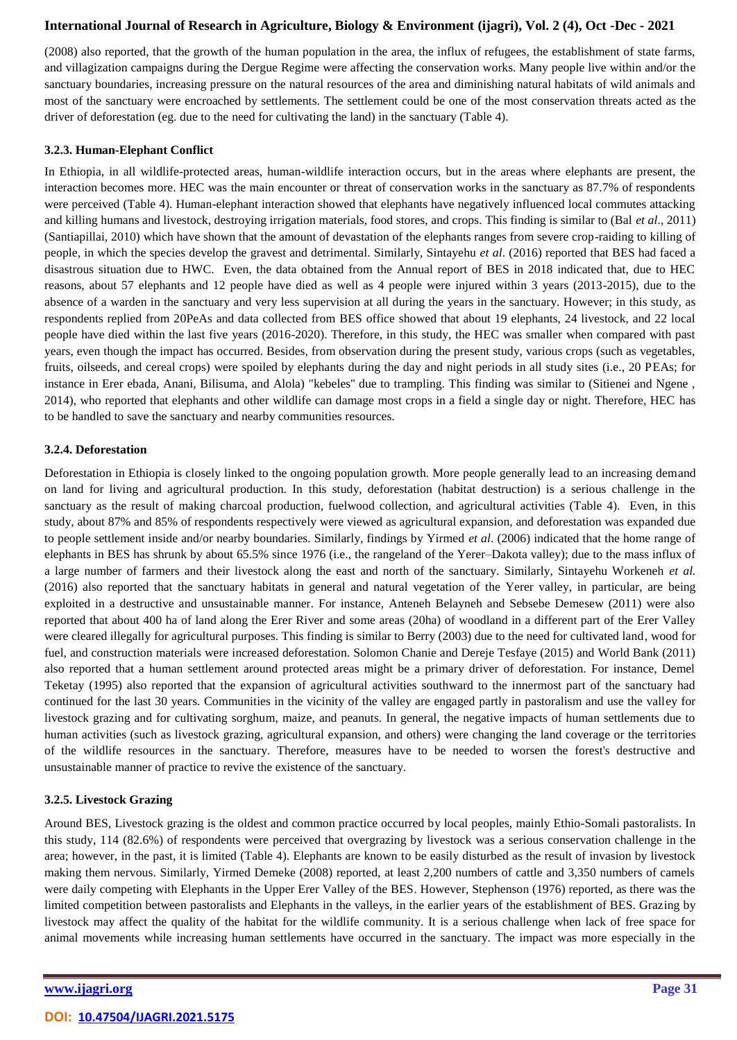(2008) also reported, that the growth of the human population in the area, the influx of refugees, the establishment of state farms, and villagization campaigns during the Dergue Regime were affecting the conservation works. Many people live within and/or the sanctuary boundaries, increasing pressure on the natural resources of the area and diminishing natural habitats of wild animals and most of the sanctuary were encroached by settlements. The settlement could be one of the most conservation threats acted as the driver of deforestation (eg. due to the need for cultivating the land) in the sanctuary (Table 4).

#### **3.2.3. Human-Elephant Conflict**

In Ethiopia, in all wildlife-protected areas, human-wildlife interaction occurs, but in the areas where elephants are present, the interaction becomes more. HEC was the main encounter or threat of conservation works in the sanctuary as 87.7% of respondents were perceived (Table 4). Human-elephant interaction showed that elephants have negatively influenced local commutes attacking and killing humans and livestock, destroying irrigation materials, food stores, and crops. This finding is similar to (Bal *et al*., 2011) (Santiapillai, 2010) which have shown that the amount of devastation of the elephants ranges from severe crop-raiding to killing of people, in which the species develop the gravest and detrimental. Similarly, Sintayehu *et al*. (2016) reported that BES had faced a disastrous situation due to HWC. Even, the data obtained from the Annual report of BES in 2018 indicated that, due to HEC reasons, about 57 elephants and 12 people have died as well as 4 people were injured within 3 years (2013-2015), due to the absence of a warden in the sanctuary and very less supervision at all during the years in the sanctuary. However; in this study, as respondents replied from 20PeAs and data collected from BES office showed that about 19 elephants, 24 livestock, and 22 local people have died within the last five years (2016-2020). Therefore, in this study, the HEC was smaller when compared with past years, even though the impact has occurred. Besides, from observation during the present study, various crops (such as vegetables, fruits, oilseeds, and cereal crops) were spoiled by elephants during the day and night periods in all study sites (i.e., 20 PEAs; for instance in Erer ebada, Anani, Bilisuma, and Alola) "kebeles'' due to trampling. This finding was similar to (Sitienei and Ngene , 2014), who reported that elephants and other wildlife can damage most crops in a field a single day or night. Therefore, HEC has to be handled to save the sanctuary and nearby communities resources.

#### **3.2.4. Deforestation**

Deforestation in Ethiopia is closely linked to the ongoing population growth. More people generally lead to an increasing demand on land for living and agricultural production. In this study, deforestation (habitat destruction) is a serious challenge in the sanctuary as the result of making charcoal production, fuelwood collection, and agricultural activities (Table 4). Even, in this study, about 87% and 85% of respondents respectively were viewed as agricultural expansion, and deforestation was expanded due to people settlement inside and/or nearby boundaries. Similarly, findings by Yirmed *et al*. (2006) indicated that the home range of elephants in BES has shrunk by about 65.5% since 1976 (i.e., the rangeland of the Yerer–Dakota valley); due to the mass influx of a large number of farmers and their livestock along the east and north of the sanctuary. Similarly, Sintayehu Workeneh *et al.* (2016) also reported that the sanctuary habitats in general and natural vegetation of the Yerer valley, in particular, are being exploited in a destructive and unsustainable manner. For instance, Anteneh Belayneh and Sebsebe Demesew (2011) were also reported that about 400 ha of land along the Erer River and some areas (20ha) of woodland in a different part of the Erer Valley were cleared illegally for agricultural purposes. This finding is similar to Berry (2003) due to the need for cultivated land, wood for fuel, and construction materials were increased deforestation. Solomon Chanie and Dereje Tesfaye (2015) and World Bank (2011) also reported that a human settlement around protected areas might be a primary driver of deforestation. For instance, Demel Teketay (1995) also reported that the expansion of agricultural activities southward to the innermost part of the sanctuary had continued for the last 30 years. Communities in the vicinity of the valley are engaged partly in pastoralism and use the valley for livestock grazing and for cultivating sorghum, maize, and peanuts. In general, the negative impacts of human settlements due to human activities (such as livestock grazing, agricultural expansion, and others) were changing the land coverage or the territories of the wildlife resources in the sanctuary. Therefore, measures have to be needed to worsen the forest's destructive and unsustainable manner of practice to revive the existence of the sanctuary.

### **3.2.5. Livestock Grazing**

Around BES, Livestock grazing is the oldest and common practice occurred by local peoples, mainly Ethio-Somali pastoralists. In this study, 114 (82.6%) of respondents were perceived that overgrazing by livestock was a serious conservation challenge in the area; however, in the past, it is limited (Table 4). Elephants are known to be easily disturbed as the result of invasion by livestock making them nervous. Similarly, Yirmed Demeke (2008) reported, at least 2,200 numbers of cattle and 3,350 numbers of camels were daily competing with Elephants in the Upper Erer Valley of the BES. However, Stephenson (1976) reported, as there was the limited competition between pastoralists and Elephants in the valleys, in the earlier years of the establishment of BES. Grazing by livestock may affect the quality of the habitat for the wildlife community. It is a serious challenge when lack of free space for animal movements while increasing human settlements have occurred in the sanctuary. The impact was more especially in the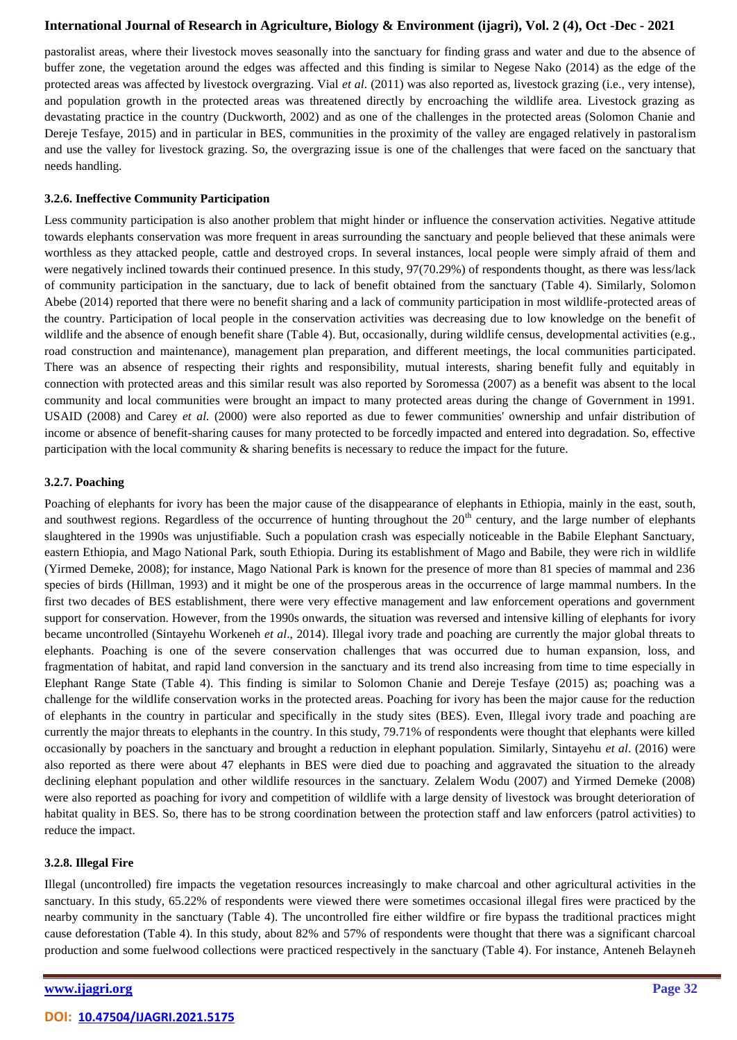pastoralist areas, where their livestock moves seasonally into the sanctuary for finding grass and water and due to the absence of buffer zone, the vegetation around the edges was affected and this finding is similar to Negese Nako (2014) as the edge of the protected areas was affected by livestock overgrazing. Vial *et al*. (2011) was also reported as, livestock grazing (i.e., very intense), and population growth in the protected areas was threatened directly by encroaching the wildlife area. Livestock grazing as devastating practice in the country (Duckworth, 2002) and as one of the challenges in the protected areas (Solomon Chanie and Dereje Tesfaye, 2015) and in particular in BES, communities in the proximity of the valley are engaged relatively in pastoralism and use the valley for livestock grazing. So, the overgrazing issue is one of the challenges that were faced on the sanctuary that needs handling.

#### **3.2.6. Ineffective Community Participation**

Less community participation is also another problem that might hinder or influence the conservation activities. Negative attitude towards elephants conservation was more frequent in areas surrounding the sanctuary and people believed that these animals were worthless as they attacked people, cattle and destroyed crops. In several instances, local people were simply afraid of them and were negatively inclined towards their continued presence. In this study, 97(70.29%) of respondents thought, as there was less/lack of community participation in the sanctuary, due to lack of benefit obtained from the sanctuary (Table 4). Similarly, Solomon Abebe (2014) reported that there were no benefit sharing and a lack of community participation in most wildlife-protected areas of the country. Participation of local people in the conservation activities was decreasing due to low knowledge on the benefit of wildlife and the absence of enough benefit share (Table 4). But, occasionally, during wildlife census, developmental activities (e.g., road construction and maintenance), management plan preparation, and different meetings, the local communities participated. There was an absence of respecting their rights and responsibility, mutual interests, sharing benefit fully and equitably in connection with protected areas and this similar result was also reported by Soromessa (2007) as a benefit was absent to the local community and local communities were brought an impact to many protected areas during the change of Government in 1991. USAID (2008) and Carey *et al.* (2000) were also reported as due to fewer communities' ownership and unfair distribution of income or absence of benefit-sharing causes for many protected to be forcedly impacted and entered into degradation. So, effective participation with the local community & sharing benefits is necessary to reduce the impact for the future.

#### **3.2.7. Poaching**

Poaching of elephants for ivory has been the major cause of the disappearance of elephants in Ethiopia, mainly in the east, south, and southwest regions. Regardless of the occurrence of hunting throughout the  $20<sup>th</sup>$  century, and the large number of elephants slaughtered in the 1990s was unjustifiable. Such a population crash was especially noticeable in the Babile Elephant Sanctuary, eastern Ethiopia, and Mago National Park, south Ethiopia. During its establishment of Mago and Babile, they were rich in wildlife (Yirmed Demeke, 2008); for instance, Mago National Park is known for the presence of more than 81 species of mammal and 236 species of birds (Hillman, 1993) and it might be one of the prosperous areas in the occurrence of large mammal numbers. In the first two decades of BES establishment, there were very effective management and law enforcement operations and government support for conservation. However, from the 1990s onwards, the situation was reversed and intensive killing of elephants for ivory became uncontrolled (Sintayehu Workeneh *et al*., 2014). Illegal ivory trade and poaching are currently the major global threats to elephants. Poaching is one of the severe conservation challenges that was occurred due to human expansion, loss, and fragmentation of habitat, and rapid land conversion in the sanctuary and its trend also increasing from time to time especially in Elephant Range State (Table 4). This finding is similar to Solomon Chanie and Dereje Tesfaye (2015) as; poaching was a challenge for the wildlife conservation works in the protected areas. Poaching for ivory has been the major cause for the reduction of elephants in the country in particular and specifically in the study sites (BES). Even, Illegal ivory trade and poaching are currently the major threats to elephants in the country. In this study, 79.71% of respondents were thought that elephants were killed occasionally by poachers in the sanctuary and brought a reduction in elephant population. Similarly, Sintayehu *et al*. (2016) were also reported as there were about 47 elephants in BES were died due to poaching and aggravated the situation to the already declining elephant population and other wildlife resources in the sanctuary. Zelalem Wodu (2007) and Yirmed Demeke (2008) were also reported as poaching for ivory and competition of wildlife with a large density of livestock was brought deterioration of habitat quality in BES. So, there has to be strong coordination between the protection staff and law enforcers (patrol activities) to reduce the impact.

### **3.2.8. Illegal Fire**

Illegal (uncontrolled) fire impacts the vegetation resources increasingly to make charcoal and other agricultural activities in the sanctuary. In this study, 65.22% of respondents were viewed there were sometimes occasional illegal fires were practiced by the nearby community in the sanctuary (Table 4). The uncontrolled fire either wildfire or fire bypass the traditional practices might cause deforestation (Table 4). In this study, about 82% and 57% of respondents were thought that there was a significant charcoal production and some fuelwood collections were practiced respectively in the sanctuary (Table 4). For instance, Anteneh Belayneh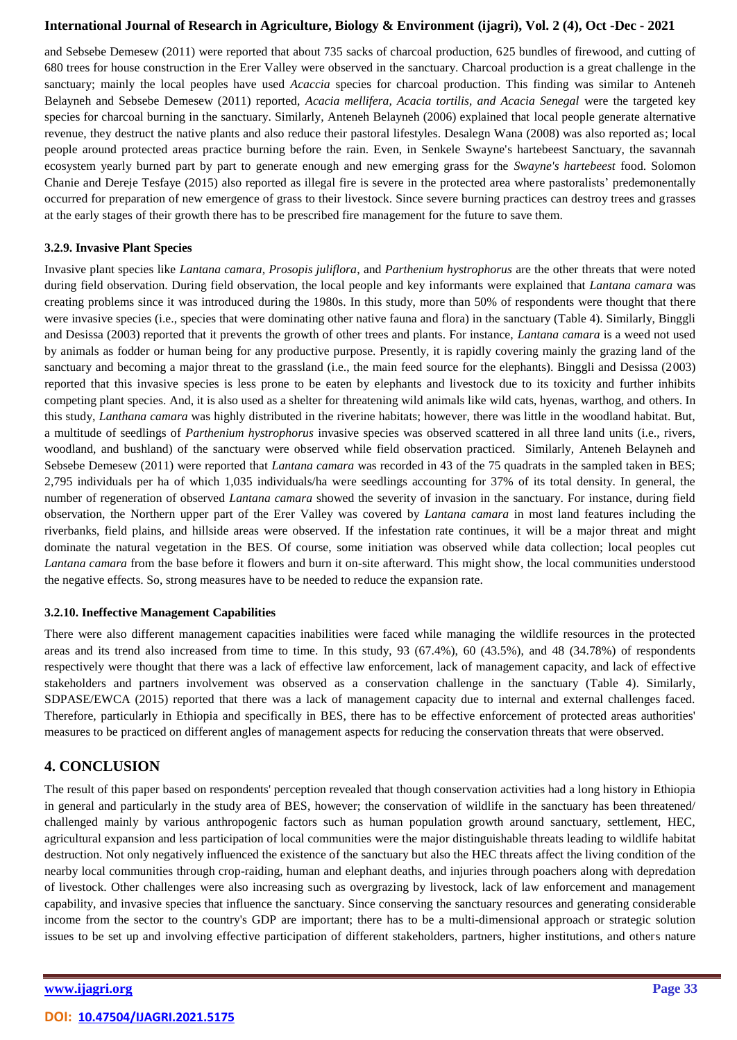and Sebsebe Demesew (2011) were reported that about 735 sacks of charcoal production, 625 bundles of firewood, and cutting of 680 trees for house construction in the Erer Valley were observed in the sanctuary. Charcoal production is a great challenge in the sanctuary; mainly the local peoples have used *Acaccia* species for charcoal production. This finding was similar to Anteneh Belayneh and Sebsebe Demesew (2011) reported, *Acacia mellifera, Acacia tortilis, and Acacia Senegal* were the targeted key species for charcoal burning in the sanctuary. Similarly, Anteneh Belayneh (2006) explained that local people generate alternative revenue, they destruct the native plants and also reduce their pastoral lifestyles. Desalegn Wana (2008) was also reported as; local people around protected areas practice burning before the rain. Even, in Senkele Swayne's hartebeest Sanctuary, the savannah ecosystem yearly burned part by part to generate enough and new emerging grass for the *Swayne's hartebeest* food. Solomon Chanie and Dereje Tesfaye (2015) also reported as illegal fire is severe in the protected area where pastoralists' predemonentally occurred for preparation of new emergence of grass to their livestock. Since severe burning practices can destroy trees and grasses at the early stages of their growth there has to be prescribed fire management for the future to save them.

#### **3.2.9. Invasive Plant Species**

Invasive plant species like *Lantana camara, Prosopis juliflora*, and *Parthenium hystrophorus* are the other threats that were noted during field observation. During field observation, the local people and key informants were explained that *Lantana camara* was creating problems since it was introduced during the 1980s. In this study, more than 50% of respondents were thought that there were invasive species (i.e., species that were dominating other native fauna and flora) in the sanctuary (Table 4). Similarly, Binggli and Desissa (2003) reported that it prevents the growth of other trees and plants. For instance, *Lantana camara* is a weed not used by animals as fodder or human being for any productive purpose. Presently, it is rapidly covering mainly the grazing land of the sanctuary and becoming a major threat to the grassland (i.e., the main feed source for the elephants). Binggli and Desissa (2003) reported that this invasive species is less prone to be eaten by elephants and livestock due to its toxicity and further inhibits competing plant species. And, it is also used as a shelter for threatening wild animals like wild cats, hyenas, warthog, and others. In this study, *Lanthana camara* was highly distributed in the riverine habitats; however, there was little in the woodland habitat. But, a multitude of seedlings of *Parthenium hystrophorus* invasive species was observed scattered in all three land units (i.e., rivers, woodland, and bushland) of the sanctuary were observed while field observation practiced. Similarly, Anteneh Belayneh and Sebsebe Demesew (2011) were reported that *Lantana camara* was recorded in 43 of the 75 quadrats in the sampled taken in BES; 2,795 individuals per ha of which 1,035 individuals/ha were seedlings accounting for 37% of its total density. In general, the number of regeneration of observed *Lantana camara* showed the severity of invasion in the sanctuary. For instance, during field observation, the Northern upper part of the Erer Valley was covered by *Lantana camara* in most land features including the riverbanks, field plains, and hillside areas were observed. If the infestation rate continues, it will be a major threat and might dominate the natural vegetation in the BES. Of course, some initiation was observed while data collection; local peoples cut *Lantana camara* from the base before it flowers and burn it on-site afterward. This might show, the local communities understood the negative effects. So, strong measures have to be needed to reduce the expansion rate.

### **3.2.10. Ineffective Management Capabilities**

There were also different management capacities inabilities were faced while managing the wildlife resources in the protected areas and its trend also increased from time to time. In this study, 93 (67.4%), 60 (43.5%), and 48 (34.78%) of respondents respectively were thought that there was a lack of effective law enforcement, lack of management capacity, and lack of effective stakeholders and partners involvement was observed as a conservation challenge in the sanctuary (Table 4). Similarly, SDPASE/EWCA (2015) reported that there was a lack of management capacity due to internal and external challenges faced. Therefore, particularly in Ethiopia and specifically in BES, there has to be effective enforcement of protected areas authorities' measures to be practiced on different angles of management aspects for reducing the conservation threats that were observed.

# **4. CONCLUSION**

The result of this paper based on respondents' perception revealed that though conservation activities had a long history in Ethiopia in general and particularly in the study area of BES, however; the conservation of wildlife in the sanctuary has been threatened/ challenged mainly by various anthropogenic factors such as human population growth around sanctuary, settlement, HEC, agricultural expansion and less participation of local communities were the major distinguishable threats leading to wildlife habitat destruction. Not only negatively influenced the existence of the sanctuary but also the HEC threats affect the living condition of the nearby local communities through crop-raiding, human and elephant deaths, and injuries through poachers along with depredation of livestock. Other challenges were also increasing such as overgrazing by livestock, lack of law enforcement and management capability, and invasive species that influence the sanctuary. Since conserving the sanctuary resources and generating considerable income from the sector to the country's GDP are important; there has to be a multi-dimensional approach or strategic solution issues to be set up and involving effective participation of different stakeholders, partners, higher institutions, and others nature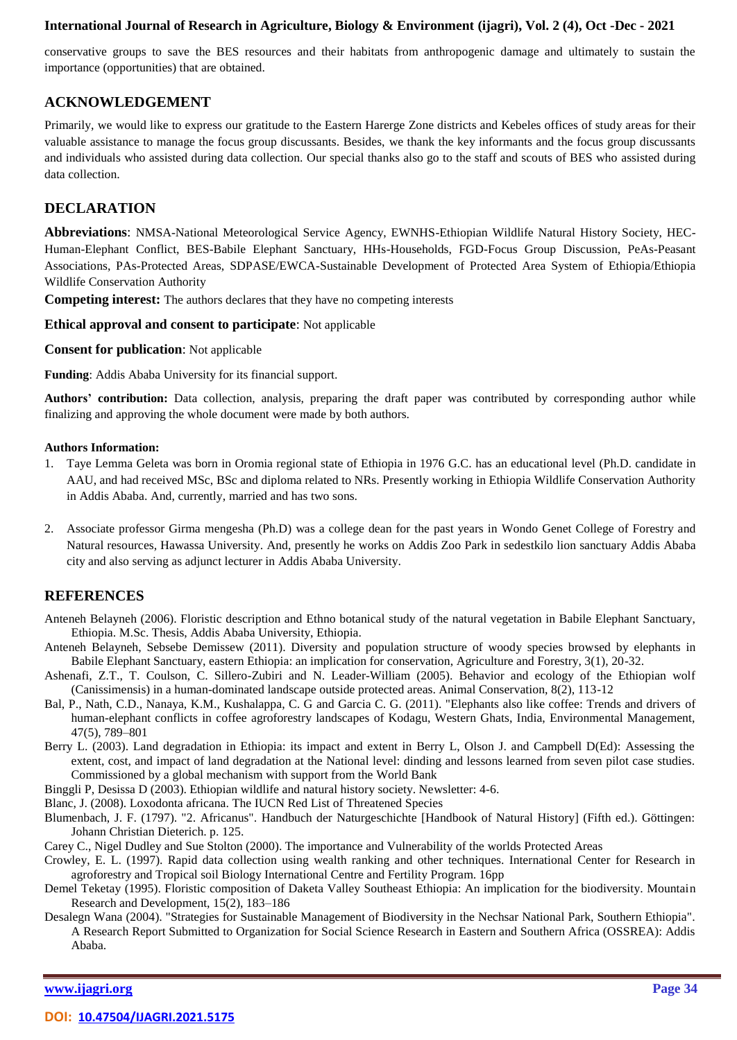conservative groups to save the BES resources and their habitats from anthropogenic damage and ultimately to sustain the importance (opportunities) that are obtained.

# **ACKNOWLEDGEMENT**

Primarily, we would like to express our gratitude to the Eastern Harerge Zone districts and Kebeles offices of study areas for their valuable assistance to manage the focus group discussants. Besides, we thank the key informants and the focus group discussants and individuals who assisted during data collection. Our special thanks also go to the staff and scouts of BES who assisted during data collection.

# **DECLARATION**

**Abbreviations**: NMSA-National Meteorological Service Agency, EWNHS-Ethiopian Wildlife Natural History Society, HEC-Human-Elephant Conflict, BES-Babile Elephant Sanctuary, HHs-Households, FGD-Focus Group Discussion, PeAs-Peasant Associations, PAs-Protected Areas, SDPASE/EWCA-Sustainable Development of Protected Area System of Ethiopia/Ethiopia Wildlife Conservation Authority

**Competing interest:** The authors declares that they have no competing interests

#### **Ethical approval and consent to participate**: Not applicable

#### **Consent for publication**: Not applicable

**Funding**: Addis Ababa University for its financial support.

**Authors' contribution:** Data collection, analysis, preparing the draft paper was contributed by corresponding author while finalizing and approving the whole document were made by both authors.

#### **Authors Information:**

- 1. Taye Lemma Geleta was born in Oromia regional state of Ethiopia in 1976 G.C. has an educational level (Ph.D. candidate in AAU, and had received MSc, BSc and diploma related to NRs. Presently working in Ethiopia Wildlife Conservation Authority in Addis Ababa. And, currently, married and has two sons.
- 2. Associate professor Girma mengesha (Ph.D) was a college dean for the past years in Wondo Genet College of Forestry and Natural resources, Hawassa University. And, presently he works on Addis Zoo Park in sedestkilo lion sanctuary Addis Ababa city and also serving as adjunct lecturer in Addis Ababa University.

# **REFERENCES**

- Anteneh Belayneh (2006). Floristic description and Ethno botanical study of the natural vegetation in Babile Elephant Sanctuary, Ethiopia. M.Sc. Thesis, Addis Ababa University, Ethiopia.
- Anteneh Belayneh, Sebsebe Demissew (2011). Diversity and population structure of woody species browsed by elephants in Babile Elephant Sanctuary, eastern Ethiopia: an implication for conservation, Agriculture and Forestry, 3(1), 20-32.
- Ashenafi, Z.T., T. Coulson, C. Sillero-Zubiri and N. Leader-William (2005). Behavior and ecology of the Ethiopian wolf (Canissimensis) in a human-dominated landscape outside protected areas. Animal Conservation, 8(2), 113-12
- Bal, P., Nath, C.D., Nanaya, K.M., Kushalappa, C. G and Garcia C. G. (2011). "Elephants also like coffee: Trends and drivers of human-elephant conflicts in coffee agroforestry landscapes of Kodagu, Western Ghats, India, Environmental Management, 47(5), 789–801
- Berry L. (2003). Land degradation in Ethiopia: its impact and extent in Berry L, Olson J. and Campbell D(Ed): Assessing the extent, cost, and impact of land degradation at the National level: dinding and lessons learned from seven pilot case studies. Commissioned by a global mechanism with support from the World Bank

Binggli P, Desissa D (2003). Ethiopian wildlife and natural history society. Newsletter: 4-6.

Blanc, J. (2008). Loxodonta africana. The IUCN Red List of Threatened Species

- Blumenbach, J. F. (1797). "2. Africanus". Handbuch der Naturgeschichte [Handbook of Natural History] (Fifth ed.). Göttingen: Johann Christian Dieterich. p. 125.
- Carey C., Nigel Dudley and Sue Stolton (2000). The importance and Vulnerability of the worlds Protected Areas
- Crowley, E. L. (1997). Rapid data collection using wealth ranking and other techniques. International Center for Research in agroforestry and Tropical soil Biology International Centre and Fertility Program. 16pp
- Demel Teketay (1995). Floristic composition of Daketa Valley Southeast Ethiopia: An implication for the biodiversity. Mountain Research and Development, 15(2), 183–186
- Desalegn Wana (2004). "Strategies for Sustainable Management of Biodiversity in the Nechsar National Park, Southern Ethiopia". A Research Report Submitted to Organization for Social Science Research in Eastern and Southern Africa (OSSREA): Addis Ababa.

**[www.ijagri.org](https://ijagri.org/index.php/ijagri/about) Page 34**